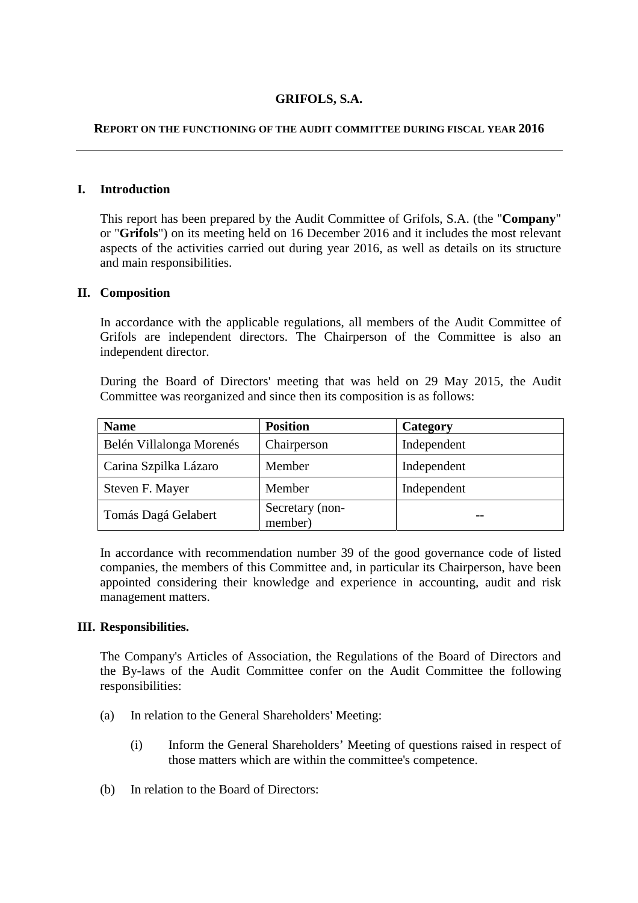# **GRIFOLS, S.A.**

#### **REPORT ON THE FUNCTIONING OF THE AUDIT COMMITTEE DURING FISCAL YEAR 2016**

### **I. Introduction**

This report has been prepared by the Audit Committee of Grifols, S.A. (the "**Company**" or "**Grifols**") on its meeting held on 16 December 2016 and it includes the most relevant aspects of the activities carried out during year 2016, as well as details on its structure and main responsibilities.

#### **II. Composition**

In accordance with the applicable regulations, all members of the Audit Committee of Grifols are independent directors. The Chairperson of the Committee is also an independent director.

During the Board of Directors' meeting that was held on 29 May 2015, the Audit Committee was reorganized and since then its composition is as follows:

| <b>Name</b>              | <b>Position</b>            | Category    |
|--------------------------|----------------------------|-------------|
| Belén Villalonga Morenés | Chairperson                | Independent |
| Carina Szpilka Lázaro    | Member                     | Independent |
| Steven F. Mayer          | Member                     | Independent |
| Tomás Dagá Gelabert      | Secretary (non-<br>member) |             |

In accordance with recommendation number 39 of the good governance code of listed companies, the members of this Committee and, in particular its Chairperson, have been appointed considering their knowledge and experience in accounting, audit and risk management matters.

### **III. Responsibilities.**

The Company's Articles of Association, the Regulations of the Board of Directors and the By-laws of the Audit Committee confer on the Audit Committee the following responsibilities:

- (a) In relation to the General Shareholders' Meeting:
	- (i) Inform the General Shareholders' Meeting of questions raised in respect of those matters which are within the committee's competence.
- (b) In relation to the Board of Directors: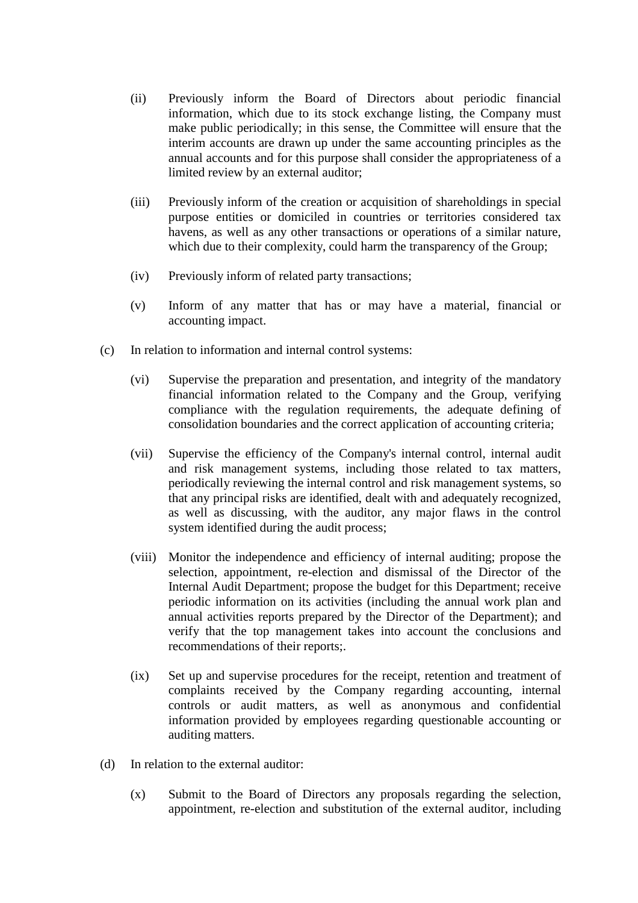- (ii) Previously inform the Board of Directors about periodic financial information, which due to its stock exchange listing, the Company must make public periodically; in this sense, the Committee will ensure that the interim accounts are drawn up under the same accounting principles as the annual accounts and for this purpose shall consider the appropriateness of a limited review by an external auditor;
- (iii) Previously inform of the creation or acquisition of shareholdings in special purpose entities or domiciled in countries or territories considered tax havens, as well as any other transactions or operations of a similar nature, which due to their complexity, could harm the transparency of the Group;
- (iv) Previously inform of related party transactions;
- (v) Inform of any matter that has or may have a material, financial or accounting impact.
- (c) In relation to information and internal control systems:
	- (vi) Supervise the preparation and presentation, and integrity of the mandatory financial information related to the Company and the Group, verifying compliance with the regulation requirements, the adequate defining of consolidation boundaries and the correct application of accounting criteria;
	- (vii) Supervise the efficiency of the Company's internal control, internal audit and risk management systems, including those related to tax matters, periodically reviewing the internal control and risk management systems, so that any principal risks are identified, dealt with and adequately recognized, as well as discussing, with the auditor, any major flaws in the control system identified during the audit process;
	- (viii) Monitor the independence and efficiency of internal auditing; propose the selection, appointment, re-election and dismissal of the Director of the Internal Audit Department; propose the budget for this Department; receive periodic information on its activities (including the annual work plan and annual activities reports prepared by the Director of the Department); and verify that the top management takes into account the conclusions and recommendations of their reports;.
	- (ix) Set up and supervise procedures for the receipt, retention and treatment of complaints received by the Company regarding accounting, internal controls or audit matters, as well as anonymous and confidential information provided by employees regarding questionable accounting or auditing matters.
- (d) In relation to the external auditor:
	- (x) Submit to the Board of Directors any proposals regarding the selection, appointment, re-election and substitution of the external auditor, including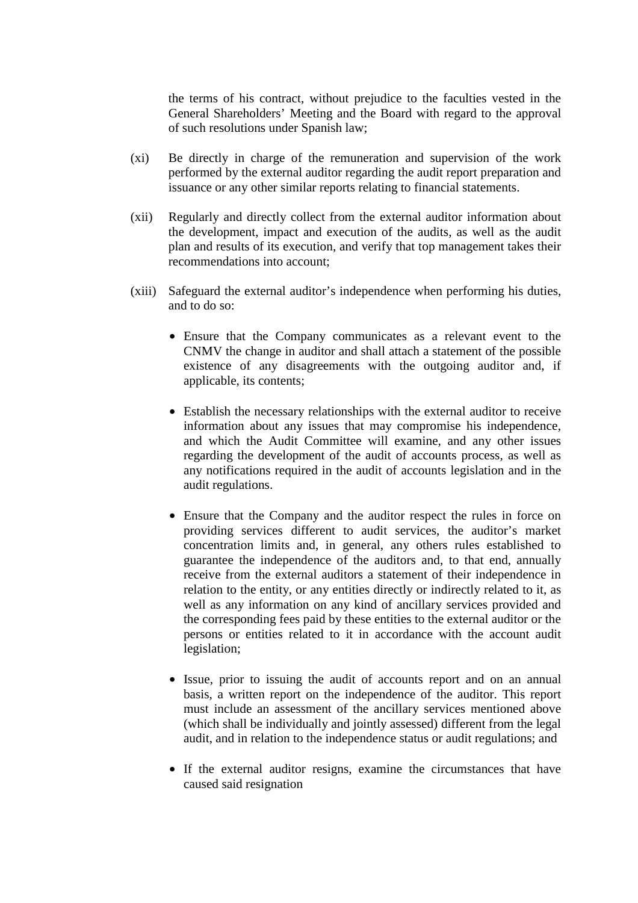the terms of his contract, without prejudice to the faculties vested in the General Shareholders' Meeting and the Board with regard to the approval of such resolutions under Spanish law;

- (xi) Be directly in charge of the remuneration and supervision of the work performed by the external auditor regarding the audit report preparation and issuance or any other similar reports relating to financial statements.
- (xii) Regularly and directly collect from the external auditor information about the development, impact and execution of the audits, as well as the audit plan and results of its execution, and verify that top management takes their recommendations into account;
- (xiii) Safeguard the external auditor's independence when performing his duties, and to do so:
	- Ensure that the Company communicates as a relevant event to the CNMV the change in auditor and shall attach a statement of the possible existence of any disagreements with the outgoing auditor and, if applicable, its contents;
	- Establish the necessary relationships with the external auditor to receive information about any issues that may compromise his independence, and which the Audit Committee will examine, and any other issues regarding the development of the audit of accounts process, as well as any notifications required in the audit of accounts legislation and in the audit regulations.
	- Ensure that the Company and the auditor respect the rules in force on providing services different to audit services, the auditor's market concentration limits and, in general, any others rules established to guarantee the independence of the auditors and, to that end, annually receive from the external auditors a statement of their independence in relation to the entity, or any entities directly or indirectly related to it, as well as any information on any kind of ancillary services provided and the corresponding fees paid by these entities to the external auditor or the persons or entities related to it in accordance with the account audit legislation;
	- Issue, prior to issuing the audit of accounts report and on an annual basis, a written report on the independence of the auditor. This report must include an assessment of the ancillary services mentioned above (which shall be individually and jointly assessed) different from the legal audit, and in relation to the independence status or audit regulations; and
	- If the external auditor resigns, examine the circumstances that have caused said resignation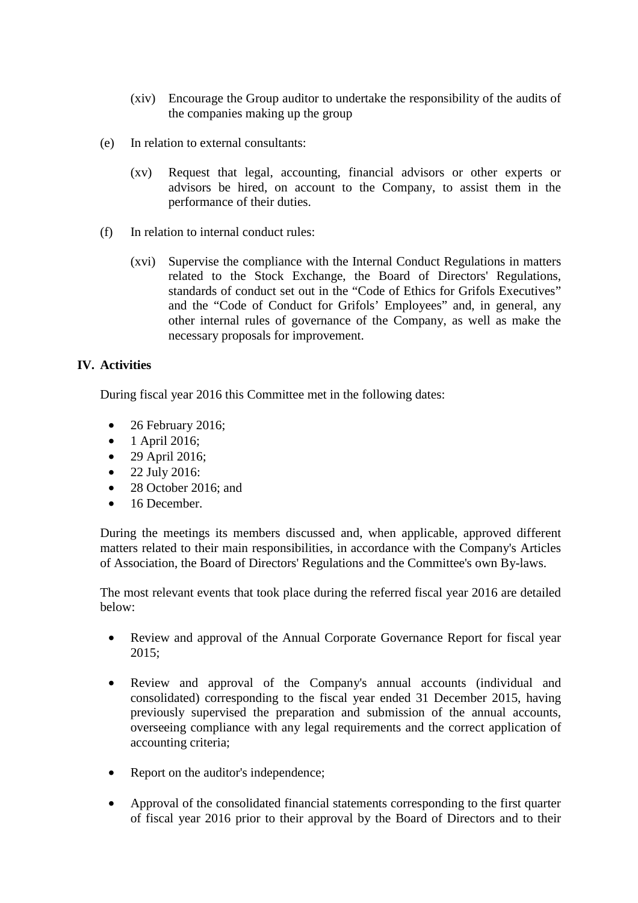- (xiv) Encourage the Group auditor to undertake the responsibility of the audits of the companies making up the group
- (e) In relation to external consultants:
	- (xv) Request that legal, accounting, financial advisors or other experts or advisors be hired, on account to the Company, to assist them in the performance of their duties.
- (f) In relation to internal conduct rules:
	- (xvi) Supervise the compliance with the Internal Conduct Regulations in matters related to the Stock Exchange, the Board of Directors' Regulations, standards of conduct set out in the "Code of Ethics for Grifols Executives" and the "Code of Conduct for Grifols' Employees" and, in general, any other internal rules of governance of the Company, as well as make the necessary proposals for improvement.

## **IV. Activities**

During fiscal year 2016 this Committee met in the following dates:

- 26 February 2016;
- 1 April 2016;
- 29 April 2016;
- 22 July 2016:
- 28 October 2016; and
- 16 December.

During the meetings its members discussed and, when applicable, approved different matters related to their main responsibilities, in accordance with the Company's Articles of Association, the Board of Directors' Regulations and the Committee's own By-laws.

The most relevant events that took place during the referred fiscal year 2016 are detailed below:

- Review and approval of the Annual Corporate Governance Report for fiscal year 2015;
- Review and approval of the Company's annual accounts (individual and consolidated) corresponding to the fiscal year ended 31 December 2015, having previously supervised the preparation and submission of the annual accounts, overseeing compliance with any legal requirements and the correct application of accounting criteria;
- Report on the auditor's independence;
- Approval of the consolidated financial statements corresponding to the first quarter of fiscal year 2016 prior to their approval by the Board of Directors and to their